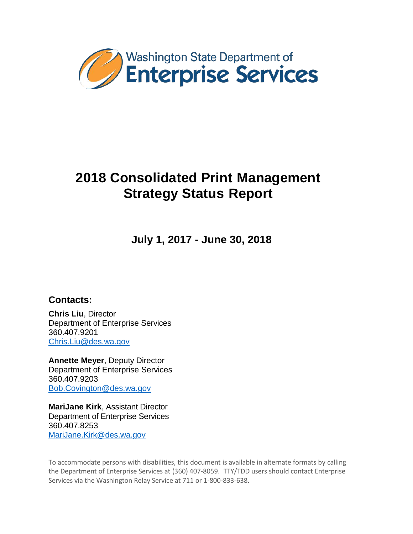

**July 1, 2017 - June 30, 2018**

## **Contacts:**

**Chris Liu**, Director Department of Enterprise Services 360.407.9201 [Chris.Liu@des.wa.gov](mailto:Chris.Liu@des.wa.gov)

**Annette Meyer**, Deputy Director Department of Enterprise Services 360.407.9203 [Bob.Covington@des.wa.gov](mailto:Bob.Covington@des.wa.gov)

**MariJane Kirk**, Assistant Director Department of Enterprise Services 360.407.8253 [MariJane.Kirk@des.wa.gov](mailto:MariJane.Kirk@des.wa.gov)

To accommodate persons with disabilities, this document is available in alternate formats by calling the Department of Enterprise Services at (360) 407-8059. TTY/TDD users should contact Enterprise Services via the Washington Relay Service at 711 or 1-800-833-638.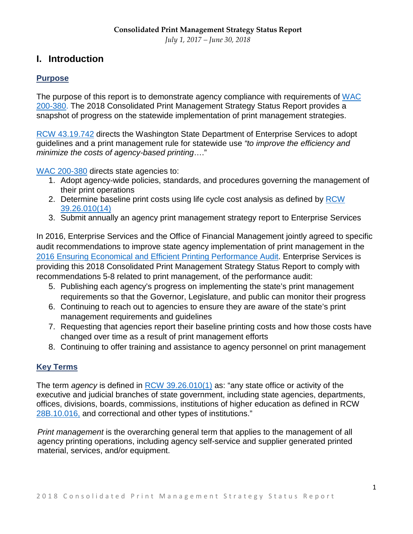## **I. Introduction**

#### **Purpose**

The purpose of this report is to demonstrate agency compliance with requirements of [WAC](http://apps.leg.wa.gov/wac/default.aspx?cite=200-380)  [200-380.](http://apps.leg.wa.gov/wac/default.aspx?cite=200-380) The 2018 Consolidated Print Management Strategy Status Report provides a snapshot of progress on the statewide implementation of print management strategies.

[RCW 43.19.742](http://app.leg.wa.gov/RCW/default.aspx?cite=43.19.742) directs the Washington State Department of Enterprise Services to adopt guidelines and a print management rule for statewide use *"to improve the efficiency and minimize the costs of agency-based printing*…."

[WAC 200-380](http://apps.leg.wa.gov/wac/default.aspx?cite=200-380) directs state agencies to:

- 1. Adopt agency-wide policies, standards, and procedures governing the management of their print operations
- 2. Determine baseline print costs using life cycle cost analysis as defined by [RCW](http://apps.leg.wa.gov/rcw/default.aspx?Cite=39.26.010)  [39.26.010\(14\)](http://apps.leg.wa.gov/rcw/default.aspx?Cite=39.26.010)
- 3. Submit annually an agency print management strategy report to Enterprise Services

In 2016, Enterprise Services and the Office of Financial Management jointly agreed to specific audit recommendations to improve state agency implementation of print management in the [2016 Ensuring Economical and Efficient Printing Performance Audit.](http://portal.sao.wa.gov/ReportSearch/Home/ViewReportFile?arn=1017881&isFinding=false&sp=false) Enterprise Services is providing this 2018 Consolidated Print Management Strategy Status Report to comply with recommendations 5-8 related to print management, of the performance audit:

- 5. Publishing each agency's progress on implementing the state's print management requirements so that the Governor, Legislature, and public can monitor their progress
- 6. Continuing to reach out to agencies to ensure they are aware of the state's print management requirements and guidelines
- 7. Requesting that agencies report their baseline printing costs and how those costs have changed over time as a result of print management efforts
- 8. Continuing to offer training and assistance to agency personnel on print management

#### **Key Terms**

The term *agency* is defined in [RCW 39.26.010\(1\)](http://app.leg.wa.gov/rcw/default.aspx?cite=39.26.010) as: "any state office or activity of the executive and judicial branches of state government, including state agencies, departments, offices, divisions, boards, commissions, institutions of higher education as defined in RCW [28B.10.016,](http://apps.leg.wa.gov/RCW/default.aspx?cite=28B.10.016) and correctional and other types of institutions."

*Print management* is the overarching general term that applies to the management of all agency printing operations, including agency self-service and supplier generated printed material, services, and/or equipment.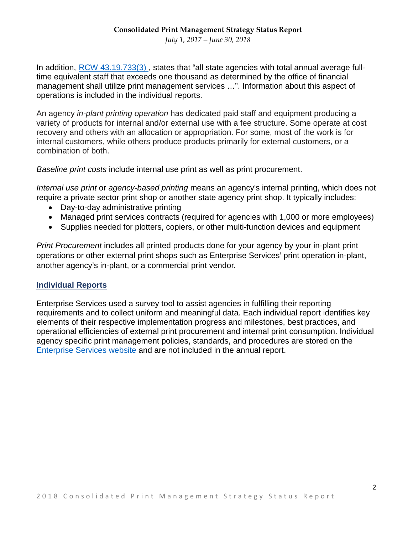*July 1, 2017 – June 30, 2018*

In addition, [RCW 43.19.733\(3\)](http://apps.leg.wa.gov/RCW/default.aspx?cite=43.19.733), states that "all state agencies with total annual average fulltime equivalent staff that exceeds one thousand as determined by the office of financial management shall utilize print management services …". Information about this aspect of operations is included in the individual reports.

An agency *in-plant printing operation* has dedicated paid staff and equipment producing a variety of products for internal and/or external use with a fee structure. Some operate at cost recovery and others with an allocation or appropriation. For some, most of the work is for internal customers, while others produce products primarily for external customers, or a combination of both.

*Baseline print costs* include internal use print as well as print procurement.

*Internal use print* or *agency-based printing* means an agency's internal printing, which does not require a private sector print shop or another state agency print shop. It typically includes:

- Day-to-day administrative printing
- Managed print services contracts (required for agencies with 1,000 or more employees)
- Supplies needed for plotters, copiers, or other multi-function devices and equipment

*Print Procurement* includes all printed products done for your agency by your in-plant print operations or other external print shops such as Enterprise Services' print operation in-plant, another agency's in-plant, or a commercial print vendor.

#### **Individual Reports**

Enterprise Services used a survey tool to assist agencies in fulfilling their reporting requirements and to collect uniform and meaningful data. Each individual report identifies key elements of their respective implementation progress and milestones, best practices, and operational efficiencies of external print procurement and internal print consumption. Individual agency specific print management policies, standards, and procedures are stored on the [Enterprise Services website](https://des.wa.gov/services/printing-mail/printing-services/print-management) and are not included in the annual report.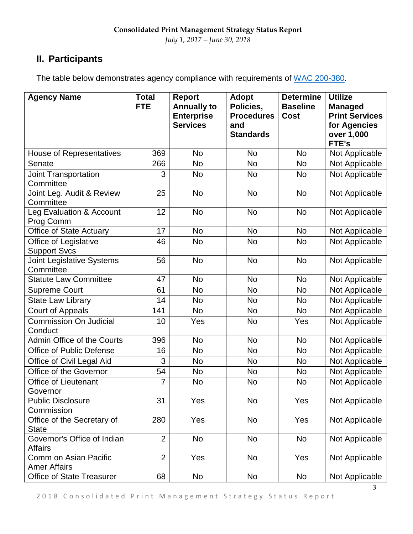## **II. Participants**

The table below demonstrates agency compliance with requirements of [WAC 200-380.](http://apps.leg.wa.gov/wac/default.aspx?cite=200-380)

| <b>Agency Name</b>                            | <b>Total</b><br><b>FTE</b> | Report<br><b>Annually to</b><br><b>Enterprise</b><br><b>Services</b> | <b>Adopt</b><br>Policies,<br><b>Procedures</b><br>and<br><b>Standards</b> | <b>Determine</b><br><b>Baseline</b><br><b>Cost</b> | <b>Utilize</b><br><b>Managed</b><br><b>Print Services</b><br>for Agencies<br>over 1,000<br><b>FTE's</b> |
|-----------------------------------------------|----------------------------|----------------------------------------------------------------------|---------------------------------------------------------------------------|----------------------------------------------------|---------------------------------------------------------------------------------------------------------|
| <b>House of Representatives</b>               | 369                        | <b>No</b>                                                            | <b>No</b>                                                                 | <b>No</b>                                          | Not Applicable                                                                                          |
| Senate                                        | 266                        | <b>No</b>                                                            | <b>No</b>                                                                 | <b>No</b>                                          | Not Applicable                                                                                          |
| Joint Transportation<br>Committee             | 3                          | <b>No</b>                                                            | No                                                                        | No                                                 | Not Applicable                                                                                          |
| Joint Leg. Audit & Review<br>Committee        | 25                         | <b>No</b>                                                            | <b>No</b>                                                                 | <b>No</b>                                          | Not Applicable                                                                                          |
| Leg Evaluation & Account<br>Prog Comm         | 12                         | <b>No</b>                                                            | <b>No</b>                                                                 | <b>No</b>                                          | Not Applicable                                                                                          |
| Office of State Actuary                       | 17                         | <b>No</b>                                                            | <b>No</b>                                                                 | <b>No</b>                                          | Not Applicable                                                                                          |
| Office of Legislative<br><b>Support Svcs</b>  | 46                         | <b>No</b>                                                            | <b>No</b>                                                                 | <b>No</b>                                          | Not Applicable                                                                                          |
| <b>Joint Legislative Systems</b><br>Committee | 56                         | <b>No</b>                                                            | <b>No</b>                                                                 | <b>No</b>                                          | Not Applicable                                                                                          |
| <b>Statute Law Committee</b>                  | 47                         | <b>No</b>                                                            | <b>No</b>                                                                 | <b>No</b>                                          | Not Applicable                                                                                          |
| <b>Supreme Court</b>                          | 61                         | <b>No</b>                                                            | <b>No</b>                                                                 | <b>No</b>                                          | Not Applicable                                                                                          |
| <b>State Law Library</b>                      | 14                         | <b>No</b>                                                            | <b>No</b>                                                                 | No                                                 | Not Applicable                                                                                          |
| <b>Court of Appeals</b>                       | 141                        | <b>No</b>                                                            | <b>No</b>                                                                 | <b>No</b>                                          | Not Applicable                                                                                          |
| Commission On Judicial<br>Conduct             | 10                         | Yes                                                                  | <b>No</b>                                                                 | Yes                                                | Not Applicable                                                                                          |
| Admin Office of the Courts                    | 396                        | <b>No</b>                                                            | <b>No</b>                                                                 | <b>No</b>                                          | Not Applicable                                                                                          |
| Office of Public Defense                      | 16                         | <b>No</b>                                                            | <b>No</b>                                                                 | <b>No</b>                                          | Not Applicable                                                                                          |
| Office of Civil Legal Aid                     | 3                          | <b>No</b>                                                            | <b>No</b>                                                                 | <b>No</b>                                          | Not Applicable                                                                                          |
| Office of the Governor                        | 54                         | <b>No</b>                                                            | No                                                                        | No                                                 | Not Applicable                                                                                          |
| <b>Office of Lieutenant</b><br>Governor       | 7                          | <b>No</b>                                                            | <b>No</b>                                                                 | <b>No</b>                                          | Not Applicable                                                                                          |
| <b>Public Disclosure</b><br>Commission        | 31                         | Yes                                                                  | No                                                                        | Yes                                                | Not Applicable                                                                                          |
| Office of the Secretary of<br><b>State</b>    | 280                        | Yes                                                                  | <b>No</b>                                                                 | Yes                                                | Not Applicable                                                                                          |
| Governor's Office of Indian<br><b>Affairs</b> | $\overline{2}$             | <b>No</b>                                                            | <b>No</b>                                                                 | <b>No</b>                                          | Not Applicable                                                                                          |
| Comm on Asian Pacific<br><b>Amer Affairs</b>  | $\overline{2}$             | Yes                                                                  | No                                                                        | Yes                                                | Not Applicable                                                                                          |
| <b>Office of State Treasurer</b>              | 68                         | <b>No</b>                                                            | No                                                                        | <b>No</b>                                          | Not Applicable                                                                                          |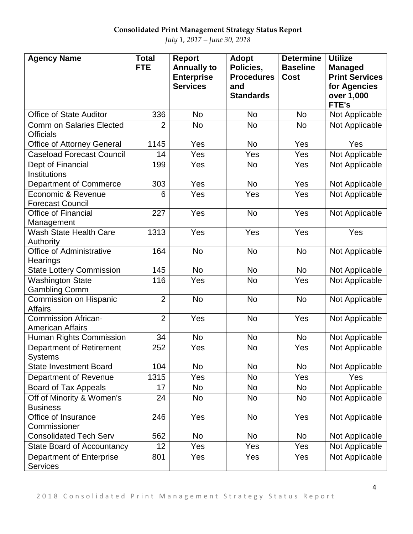*July 1, 2017 – June 30, 2018*

| <b>Agency Name</b>                                    | <b>Total</b><br><b>FTE</b> | <b>Report</b><br><b>Annually to</b><br><b>Enterprise</b><br><b>Services</b> | <b>Adopt</b><br>Policies,<br><b>Procedures</b><br>and<br><b>Standards</b> | <b>Determine</b><br><b>Baseline</b><br><b>Cost</b> | <b>Utilize</b><br><b>Managed</b><br><b>Print Services</b><br>for Agencies<br>over 1,000<br>FTE's |
|-------------------------------------------------------|----------------------------|-----------------------------------------------------------------------------|---------------------------------------------------------------------------|----------------------------------------------------|--------------------------------------------------------------------------------------------------|
| <b>Office of State Auditor</b>                        | 336                        | <b>No</b>                                                                   | <b>No</b>                                                                 | <b>No</b>                                          | Not Applicable                                                                                   |
| <b>Comm on Salaries Elected</b><br><b>Officials</b>   | $\overline{2}$             | <b>No</b>                                                                   | <b>No</b>                                                                 | <b>No</b>                                          | Not Applicable                                                                                   |
| <b>Office of Attorney General</b>                     | 1145                       | Yes                                                                         | <b>No</b>                                                                 | Yes                                                | Yes                                                                                              |
| <b>Caseload Forecast Council</b>                      | 14                         | Yes                                                                         | Yes                                                                       | Yes                                                | Not Applicable                                                                                   |
| Dept of Financial<br>Institutions                     | 199                        | Yes                                                                         | <b>No</b>                                                                 | Yes                                                | Not Applicable                                                                                   |
| Department of Commerce                                | 303                        | Yes                                                                         | <b>No</b>                                                                 | Yes                                                | Not Applicable                                                                                   |
| Economic & Revenue<br><b>Forecast Council</b>         | 6                          | Yes                                                                         | Yes                                                                       | Yes                                                | Not Applicable                                                                                   |
| <b>Office of Financial</b><br>Management              | 227                        | Yes                                                                         | <b>No</b>                                                                 | Yes                                                | Not Applicable                                                                                   |
| <b>Wash State Health Care</b><br>Authority            | 1313                       | Yes                                                                         | Yes                                                                       | Yes                                                | Yes                                                                                              |
| <b>Office of Administrative</b><br>Hearings           | 164                        | <b>No</b>                                                                   | <b>No</b>                                                                 | <b>No</b>                                          | Not Applicable                                                                                   |
| <b>State Lottery Commission</b>                       | 145                        | <b>No</b>                                                                   | <b>No</b>                                                                 | <b>No</b>                                          | Not Applicable                                                                                   |
| <b>Washington State</b><br><b>Gambling Comm</b>       | 116                        | Yes                                                                         | <b>No</b>                                                                 | Yes                                                | Not Applicable                                                                                   |
| Commission on Hispanic<br><b>Affairs</b>              | $\overline{2}$             | <b>No</b>                                                                   | <b>No</b>                                                                 | <b>No</b>                                          | Not Applicable                                                                                   |
| <b>Commission African-</b><br><b>American Affairs</b> | $\overline{2}$             | Yes                                                                         | <b>No</b>                                                                 | Yes                                                | Not Applicable                                                                                   |
| Human Rights Commission                               | 34                         | <b>No</b>                                                                   | <b>No</b>                                                                 | <b>No</b>                                          | Not Applicable                                                                                   |
| <b>Department of Retirement</b><br><b>Systems</b>     | 252                        | Yes                                                                         | <b>No</b>                                                                 | Yes                                                | Not Applicable                                                                                   |
| <b>State Investment Board</b>                         | 104                        | <b>No</b>                                                                   | <b>No</b>                                                                 | <b>No</b>                                          | Not Applicable                                                                                   |
| Department of Revenue                                 | 1315                       | Yes                                                                         | No                                                                        | Yes                                                | Yes                                                                                              |
| <b>Board of Tax Appeals</b>                           | 17                         | <b>No</b>                                                                   | No                                                                        | No                                                 | Not Applicable                                                                                   |
| Off of Minority & Women's<br><b>Business</b>          | 24                         | <b>No</b>                                                                   | <b>No</b>                                                                 | <b>No</b>                                          | Not Applicable                                                                                   |
| Office of Insurance<br>Commissioner                   | 246                        | Yes                                                                         | <b>No</b>                                                                 | Yes                                                | Not Applicable                                                                                   |
| <b>Consolidated Tech Serv</b>                         | 562                        | <b>No</b>                                                                   | <b>No</b>                                                                 | <b>No</b>                                          | Not Applicable                                                                                   |
| <b>State Board of Accountancy</b>                     | 12                         | Yes                                                                         | Yes                                                                       | Yes                                                | Not Applicable                                                                                   |
| Department of Enterprise<br><b>Services</b>           | 801                        | Yes                                                                         | Yes                                                                       | Yes                                                | Not Applicable                                                                                   |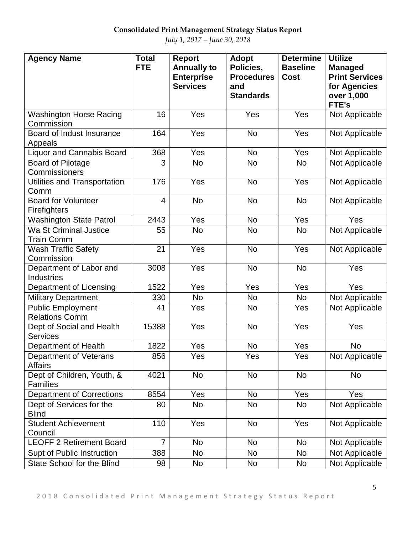| <b>Agency Name</b>                                | <b>Total</b><br><b>FTE</b> | Report<br><b>Annually to</b><br><b>Enterprise</b><br><b>Services</b> | <b>Adopt</b><br>Policies,<br><b>Procedures</b><br>and<br><b>Standards</b> | <b>Determine</b><br><b>Baseline</b><br><b>Cost</b> | <b>Utilize</b><br><b>Managed</b><br><b>Print Services</b><br>for Agencies<br>over 1,000<br>FTE's |
|---------------------------------------------------|----------------------------|----------------------------------------------------------------------|---------------------------------------------------------------------------|----------------------------------------------------|--------------------------------------------------------------------------------------------------|
| <b>Washington Horse Racing</b><br>Commission      | 16                         | Yes                                                                  | Yes                                                                       | Yes                                                | Not Applicable                                                                                   |
| Board of Indust Insurance<br>Appeals              | 164                        | Yes                                                                  | <b>No</b>                                                                 | Yes                                                | Not Applicable                                                                                   |
| <b>Liquor and Cannabis Board</b>                  | 368                        | Yes                                                                  | <b>No</b>                                                                 | Yes                                                | Not Applicable                                                                                   |
| <b>Board of Pilotage</b><br>Commissioners         | 3                          | <b>No</b>                                                            | <b>No</b>                                                                 | No                                                 | Not Applicable                                                                                   |
| Utilities and Transportation<br>Comm              | 176                        | Yes                                                                  | <b>No</b>                                                                 | Yes                                                | Not Applicable                                                                                   |
| <b>Board for Volunteer</b><br><b>Firefighters</b> | $\overline{4}$             | <b>No</b>                                                            | <b>No</b>                                                                 | <b>No</b>                                          | Not Applicable                                                                                   |
| <b>Washington State Patrol</b>                    | 2443                       | Yes                                                                  | <b>No</b>                                                                 | Yes                                                | Yes                                                                                              |
| Wa St Criminal Justice<br><b>Train Comm</b>       | 55                         | <b>No</b>                                                            | <b>No</b>                                                                 | <b>No</b>                                          | Not Applicable                                                                                   |
| <b>Wash Traffic Safety</b><br>Commission          | 21                         | Yes                                                                  | <b>No</b>                                                                 | Yes                                                | Not Applicable                                                                                   |
| Department of Labor and<br>Industries             | 3008                       | Yes                                                                  | <b>No</b>                                                                 | <b>No</b>                                          | Yes                                                                                              |
| Department of Licensing                           | 1522                       | Yes                                                                  | Yes                                                                       | Yes                                                | Yes                                                                                              |
| <b>Military Department</b>                        | 330                        | <b>No</b>                                                            | <b>No</b>                                                                 | <b>No</b>                                          | Not Applicable                                                                                   |
| <b>Public Employment</b><br><b>Relations Comm</b> | 41                         | Yes                                                                  | <b>No</b>                                                                 | Yes                                                | Not Applicable                                                                                   |
| Dept of Social and Health<br><b>Services</b>      | 15388                      | Yes                                                                  | <b>No</b>                                                                 | Yes                                                | Yes                                                                                              |
| Department of Health                              | 1822                       | Yes                                                                  | <b>No</b>                                                                 | Yes                                                | <b>No</b>                                                                                        |
| Department of Veterans<br><b>Affairs</b>          | 856                        | Yes                                                                  | Yes                                                                       | Yes                                                | Not Applicable                                                                                   |
| Dept of Children, Youth, &<br><b>Families</b>     | 4021                       | <b>No</b>                                                            | <b>No</b>                                                                 | <b>No</b>                                          | <b>No</b>                                                                                        |
| <b>Department of Corrections</b>                  | 8554                       | Yes                                                                  | No                                                                        | Yes                                                | Yes                                                                                              |
| Dept of Services for the<br><b>Blind</b>          | 80                         | No                                                                   | <b>No</b>                                                                 | <b>No</b>                                          | Not Applicable                                                                                   |
| <b>Student Achievement</b><br>Council             | 110                        | Yes                                                                  | <b>No</b>                                                                 | Yes                                                | Not Applicable                                                                                   |
| <b>LEOFF 2 Retirement Board</b>                   | $\overline{7}$             | No                                                                   | No                                                                        | <b>No</b>                                          | Not Applicable                                                                                   |
| Supt of Public Instruction                        | 388                        | <b>No</b>                                                            | No                                                                        | No                                                 | Not Applicable                                                                                   |
| State School for the Blind                        | 98                         | No                                                                   | No                                                                        | <b>No</b>                                          | Not Applicable                                                                                   |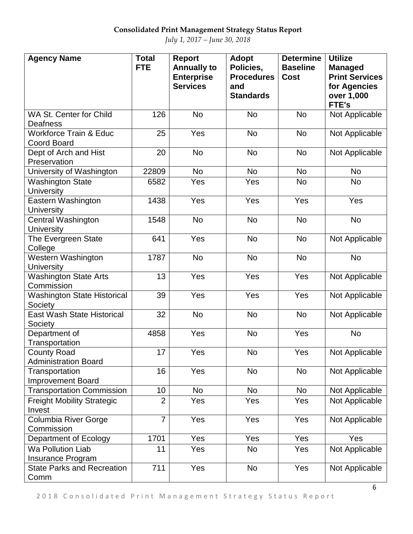| <b>Agency Name</b>                                      | <b>Total</b><br><b>FTE</b> | Report<br><b>Annually to</b><br><b>Enterprise</b><br><b>Services</b> | <b>Adopt</b><br>Policies,<br><b>Procedures</b><br>and<br><b>Standards</b> | <b>Determine</b><br><b>Baseline</b><br><b>Cost</b> | <b>Utilize</b><br><b>Managed</b><br><b>Print Services</b><br>for Agencies<br>over 1,000<br>FTE's |
|---------------------------------------------------------|----------------------------|----------------------------------------------------------------------|---------------------------------------------------------------------------|----------------------------------------------------|--------------------------------------------------------------------------------------------------|
| WA St. Center for Child<br>Deafness                     | 126                        | <b>No</b>                                                            | <b>No</b>                                                                 | <b>No</b>                                          | Not Applicable                                                                                   |
| <b>Workforce Train &amp; Educ</b><br><b>Coord Board</b> | 25                         | Yes                                                                  | <b>No</b>                                                                 | <b>No</b>                                          | Not Applicable                                                                                   |
| Dept of Arch and Hist<br>Preservation                   | 20                         | <b>No</b>                                                            | <b>No</b>                                                                 | <b>No</b>                                          | Not Applicable                                                                                   |
| University of Washington                                | 22809                      | <b>No</b>                                                            | <b>No</b>                                                                 | <b>No</b>                                          | <b>No</b>                                                                                        |
| <b>Washington State</b><br><b>University</b>            | 6582                       | Yes                                                                  | Yes                                                                       | <b>No</b>                                          | <b>No</b>                                                                                        |
| Eastern Washington<br><b>University</b>                 | 1438                       | Yes                                                                  | Yes                                                                       | Yes                                                | Yes                                                                                              |
| Central Washington<br><b>University</b>                 | 1548                       | <b>No</b>                                                            | <b>No</b>                                                                 | <b>No</b>                                          | <b>No</b>                                                                                        |
| The Evergreen State<br>College                          | 641                        | Yes                                                                  | <b>No</b>                                                                 | <b>No</b>                                          | Not Applicable                                                                                   |
| Western Washington<br><b>University</b>                 | 1787                       | <b>No</b>                                                            | <b>No</b>                                                                 | <b>No</b>                                          | <b>No</b>                                                                                        |
| <b>Washington State Arts</b><br>Commission              | 13                         | Yes                                                                  | Yes                                                                       | Yes                                                | Not Applicable                                                                                   |
| <b>Washington State Historical</b><br>Society           | 39                         | Yes                                                                  | Yes                                                                       | Yes                                                | Not Applicable                                                                                   |
| <b>East Wash State Historical</b><br>Society            | 32                         | <b>No</b>                                                            | <b>No</b>                                                                 | <b>No</b>                                          | Not Applicable                                                                                   |
| Department of<br>Transportation                         | 4858                       | Yes                                                                  | <b>No</b>                                                                 | Yes                                                | <b>No</b>                                                                                        |
| <b>County Road</b><br><b>Administration Board</b>       | 17                         | Yes                                                                  | No                                                                        | Yes                                                | Not Applicable                                                                                   |
| Transportation<br><b>Improvement Board</b>              | 16                         | Yes                                                                  | <b>No</b>                                                                 | <b>No</b>                                          | Not Applicable                                                                                   |
| <b>Transportation Commission</b>                        | 10                         | <b>No</b>                                                            | No                                                                        | <b>No</b>                                          | Not Applicable                                                                                   |
| <b>Freight Mobility Strategic</b><br>Invest             | $\overline{2}$             | Yes                                                                  | Yes                                                                       | Yes                                                | Not Applicable                                                                                   |
| Columbia River Gorge<br>Commission                      | $\overline{7}$             | Yes                                                                  | Yes                                                                       | Yes                                                | Not Applicable                                                                                   |
| Department of Ecology                                   | 1701                       | Yes                                                                  | Yes                                                                       | Yes                                                | Yes                                                                                              |
| <b>Wa Pollution Liab</b><br>Insurance Program           | 11                         | Yes                                                                  | <b>No</b>                                                                 | Yes                                                | Not Applicable                                                                                   |
| <b>State Parks and Recreation</b><br>Comm               | 711                        | Yes                                                                  | <b>No</b>                                                                 | Yes                                                | Not Applicable                                                                                   |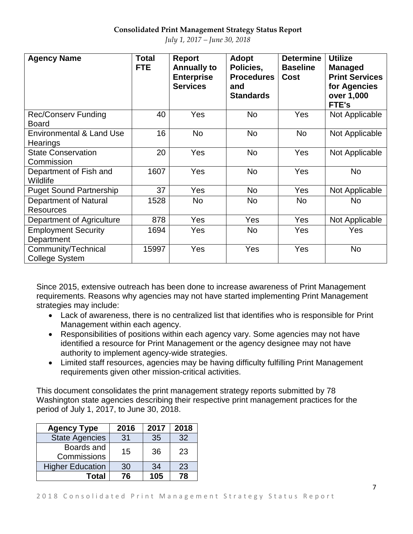| <b>Agency Name</b>                               | <b>Total</b><br>FTE. | Report<br><b>Annually to</b><br><b>Enterprise</b><br><b>Services</b> | Adopt<br>Policies,<br><b>Procedures</b><br>and<br><b>Standards</b> | <b>Determine</b><br><b>Baseline</b><br><b>Cost</b> | <b>Utilize</b><br><b>Managed</b><br><b>Print Services</b><br>for Agencies<br>over 1,000<br>FTE's |
|--------------------------------------------------|----------------------|----------------------------------------------------------------------|--------------------------------------------------------------------|----------------------------------------------------|--------------------------------------------------------------------------------------------------|
| <b>Rec/Conserv Funding</b><br><b>Board</b>       | 40                   | Yes                                                                  | <b>No</b>                                                          | <b>Yes</b>                                         | Not Applicable                                                                                   |
| <b>Environmental &amp; Land Use</b><br>Hearings  | 16                   | <b>No</b>                                                            | No                                                                 | No                                                 | Not Applicable                                                                                   |
| <b>State Conservation</b><br>Commission          | 20                   | Yes                                                                  | <b>No</b>                                                          | Yes                                                | Not Applicable                                                                                   |
| Department of Fish and<br>Wildlife               | 1607                 | Yes                                                                  | <b>No</b>                                                          | Yes                                                | <b>No</b>                                                                                        |
| <b>Puget Sound Partnership</b>                   | 37                   | Yes                                                                  | No                                                                 | Yes                                                | Not Applicable                                                                                   |
| <b>Department of Natural</b><br><b>Resources</b> | 1528                 | <b>No</b>                                                            | <b>No</b>                                                          | <b>No</b>                                          | <b>No</b>                                                                                        |
| Department of Agriculture                        | 878                  | Yes                                                                  | Yes                                                                | Yes                                                | Not Applicable                                                                                   |
| <b>Employment Security</b><br>Department         | 1694                 | Yes                                                                  | <b>No</b>                                                          | Yes                                                | Yes                                                                                              |
| Community/Technical<br><b>College System</b>     | 15997                | Yes                                                                  | <b>Yes</b>                                                         | <b>Yes</b>                                         | <b>No</b>                                                                                        |

Since 2015, extensive outreach has been done to increase awareness of Print Management requirements. Reasons why agencies may not have started implementing Print Management strategies may include:

- Lack of awareness, there is no centralized list that identifies who is responsible for Print Management within each agency.
- Responsibilities of positions within each agency vary. Some agencies may not have identified a resource for Print Management or the agency designee may not have authority to implement agency-wide strategies.
- Limited staff resources, agencies may be having difficulty fulfilling Print Management requirements given other mission-critical activities.

This document consolidates the print management strategy reports submitted by 78 Washington state agencies describing their respective print management practices for the period of July 1, 2017, to June 30, 2018.

| <b>Agency Type</b>        | 2016 | 2017 | 2018            |
|---------------------------|------|------|-----------------|
| <b>State Agencies</b>     | 31   | 35   | 32 <sup>2</sup> |
| Boards and<br>Commissions | 15   | 36   | 23              |
| <b>Higher Education</b>   | 30   | 34   | 23              |
| Total                     | 76   | 105  | 78              |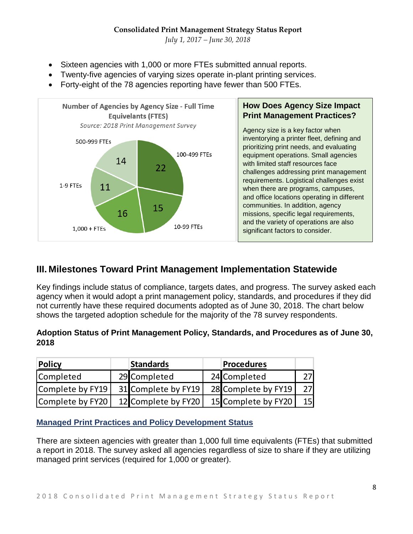*July 1, 2017 – June 30, 2018*

- Sixteen agencies with 1,000 or more FTEs submitted annual reports.
- Twenty-five agencies of varying sizes operate in-plant printing services.
- Forty-eight of the 78 agencies reporting have fewer than 500 FTEs.



## **III. Milestones Toward Print Management Implementation Statewide**

Key findings include status of compliance, targets dates, and progress. The survey asked each agency when it would adopt a print management policy, standards, and procedures if they did not currently have these required documents adopted as of June 30, 2018. The chart below shows the targeted adoption schedule for the majority of the 78 survey respondents.

#### **Adoption Status of Print Management Policy, Standards, and Procedures as of June 30, 2018**

| <b>Policy</b>    | <b>Standards</b>    | <b>Procedures</b>   |                 |
|------------------|---------------------|---------------------|-----------------|
| <b>Completed</b> | 29 Completed        | 24 Completed        | דר              |
| Complete by FY19 | 31 Complete by FY19 | 28 Complete by FY19 | 27              |
| Complete by FY20 | 12 Complete by FY20 | 15 Complete by FY20 | 15 <sup>1</sup> |

**Managed Print Practices and Policy Development Status**

There are sixteen agencies with greater than 1,000 full time equivalents (FTEs) that submitted a report in 2018. The survey asked all agencies regardless of size to share if they are utilizing managed print services (required for 1,000 or greater).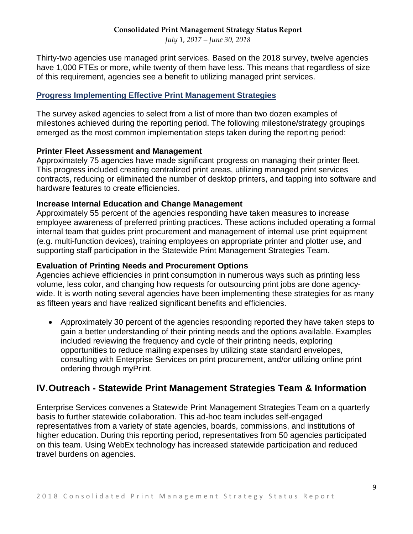*July 1, 2017 – June 30, 2018*

Thirty-two agencies use managed print services. Based on the 2018 survey, twelve agencies have 1,000 FTEs or more, while twenty of them have less. This means that regardless of size of this requirement, agencies see a benefit to utilizing managed print services.

#### **Progress Implementing Effective Print Management Strategies**

The survey asked agencies to select from a list of more than two dozen examples of milestones achieved during the reporting period. The following milestone/strategy groupings emerged as the most common implementation steps taken during the reporting period:

#### **Printer Fleet Assessment and Management**

Approximately 75 agencies have made significant progress on managing their printer fleet. This progress included creating centralized print areas, utilizing managed print services contracts, reducing or eliminated the number of desktop printers, and tapping into software and hardware features to create efficiencies.

#### **Increase Internal Education and Change Management**

Approximately 55 percent of the agencies responding have taken measures to increase employee awareness of preferred printing practices. These actions included operating a formal internal team that guides print procurement and management of internal use print equipment (e.g. multi-function devices), training employees on appropriate printer and plotter use, and supporting staff participation in the Statewide Print Management Strategies Team.

#### **Evaluation of Printing Needs and Procurement Options**

Agencies achieve efficiencies in print consumption in numerous ways such as printing less volume, less color, and changing how requests for outsourcing print jobs are done agencywide. It is worth noting several agencies have been implementing these strategies for as many as fifteen years and have realized significant benefits and efficiencies.

• Approximately 30 percent of the agencies responding reported they have taken steps to gain a better understanding of their printing needs and the options available. Examples included reviewing the frequency and cycle of their printing needs, exploring opportunities to reduce mailing expenses by utilizing state standard envelopes, consulting with Enterprise Services on print procurement, and/or utilizing online print ordering through myPrint.

## **IV.Outreach - Statewide Print Management Strategies Team & Information**

Enterprise Services convenes a Statewide Print Management Strategies Team on a quarterly basis to further statewide collaboration. This ad-hoc team includes self-engaged representatives from a variety of state agencies, boards, commissions, and institutions of higher education. During this reporting period, representatives from 50 agencies participated on this team. Using WebEx technology has increased statewide participation and reduced travel burdens on agencies.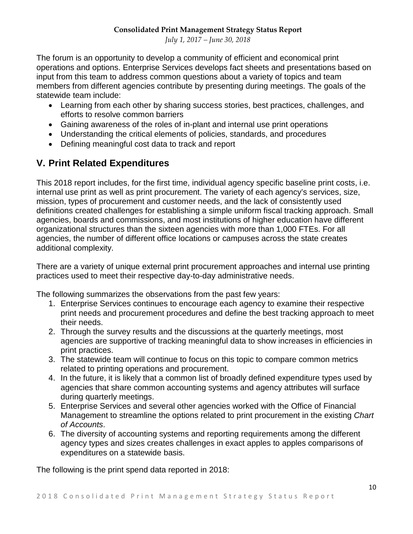The forum is an opportunity to develop a community of efficient and economical print operations and options. Enterprise Services develops fact sheets and presentations based on input from this team to address common questions about a variety of topics and team members from different agencies contribute by presenting during meetings. The goals of the statewide team include:

- Learning from each other by sharing success stories, best practices, challenges, and efforts to resolve common barriers
- Gaining awareness of the roles of in-plant and internal use print operations
- Understanding the critical elements of policies, standards, and procedures
- Defining meaningful cost data to track and report

## **V. Print Related Expenditures**

This 2018 report includes, for the first time, individual agency specific baseline print costs, i.e. internal use print as well as print procurement. The variety of each agency's services, size, mission, types of procurement and customer needs, and the lack of consistently used definitions created challenges for establishing a simple uniform fiscal tracking approach. Small agencies, boards and commissions, and most institutions of higher education have different organizational structures than the sixteen agencies with more than 1,000 FTEs. For all agencies, the number of different office locations or campuses across the state creates additional complexity.

There are a variety of unique external print procurement approaches and internal use printing practices used to meet their respective day-to-day administrative needs.

The following summarizes the observations from the past few years:

- 1. Enterprise Services continues to encourage each agency to examine their respective print needs and procurement procedures and define the best tracking approach to meet their needs.
- 2. Through the survey results and the discussions at the quarterly meetings, most agencies are supportive of tracking meaningful data to show increases in efficiencies in print practices.
- 3. The statewide team will continue to focus on this topic to compare common metrics related to printing operations and procurement.
- 4. In the future, it is likely that a common list of broadly defined expenditure types used by agencies that share common accounting systems and agency attributes will surface during quarterly meetings.
- 5. Enterprise Services and several other agencies worked with the Office of Financial Management to streamline the options related to print procurement in the existing *Chart of Accounts*.
- 6. The diversity of accounting systems and reporting requirements among the different agency types and sizes creates challenges in exact apples to apples comparisons of expenditures on a statewide basis.

The following is the print spend data reported in 2018: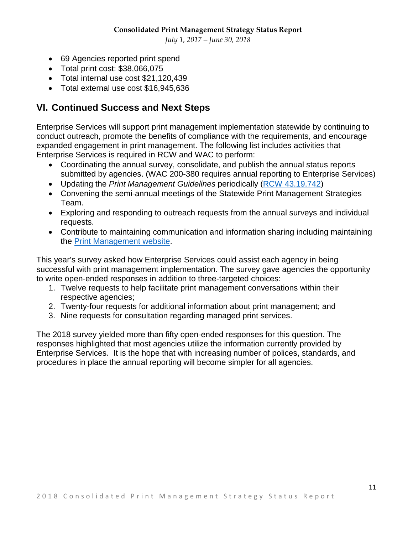*July 1, 2017 – June 30, 2018*

- 69 Agencies reported print spend
- Total print cost: \$38,066,075
- Total internal use cost \$21,120,439
- Total external use cost \$16,945,636

## **VI. Continued Success and Next Steps**

Enterprise Services will support print management implementation statewide by continuing to conduct outreach, promote the benefits of compliance with the requirements, and encourage expanded engagement in print management. The following list includes activities that Enterprise Services is required in RCW and WAC to perform:

- Coordinating the annual survey, consolidate, and publish the annual status reports submitted by agencies. (WAC 200-380 requires annual reporting to Enterprise Services)
- Updating the *Print Management Guidelines* periodically [\(RCW 43.19.742\)](http://app.leg.wa.gov/RCW/default.aspx?cite=43.19.742)
- Convening the semi-annual meetings of the Statewide Print Management Strategies Team.
- Exploring and responding to outreach requests from the annual surveys and individual requests.
- Contribute to maintaining communication and information sharing including maintaining the [Print Management website.](http://des.wa.gov/services/printing-mail/printing-services/print-management)

This year's survey asked how Enterprise Services could assist each agency in being successful with print management implementation. The survey gave agencies the opportunity to write open-ended responses in addition to three-targeted choices:

- 1. Twelve requests to help facilitate print management conversations within their respective agencies;
- 2. Twenty-four requests for additional information about print management; and
- 3. Nine requests for consultation regarding managed print services.

The 2018 survey yielded more than fifty open-ended responses for this question. The responses highlighted that most agencies utilize the information currently provided by Enterprise Services. It is the hope that with increasing number of polices, standards, and procedures in place the annual reporting will become simpler for all agencies.